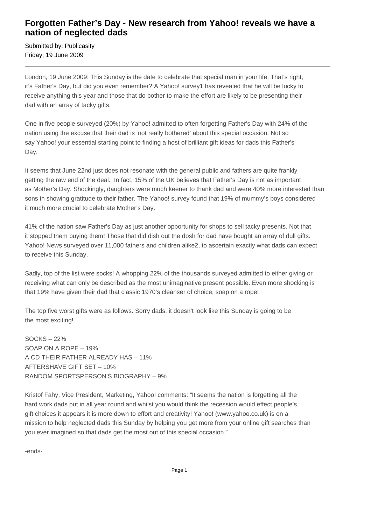## **Forgotten Father's Day - New research from Yahoo! reveals we have a nation of neglected dads**

Submitted by: Publicasity Friday, 19 June 2009

London, 19 June 2009: This Sunday is the date to celebrate that special man in your life. That's right, it's Father's Day, but did you even remember? A Yahoo! survey1 has revealed that he will be lucky to receive anything this year and those that do bother to make the effort are likely to be presenting their dad with an array of tacky gifts.

One in five people surveyed (20%) by Yahoo! admitted to often forgetting Father's Day with 24% of the nation using the excuse that their dad is 'not really bothered' about this special occasion. Not so say Yahoo! your essential starting point to finding a host of brilliant gift ideas for dads this Father's Day.

It seems that June 22nd just does not resonate with the general public and fathers are quite frankly getting the raw end of the deal. In fact, 15% of the UK believes that Father's Day is not as important as Mother's Day. Shockingly, daughters were much keener to thank dad and were 40% more interested than sons in showing gratitude to their father. The Yahoo! survey found that 19% of mummy's boys considered it much more crucial to celebrate Mother's Day.

41% of the nation saw Father's Day as just another opportunity for shops to sell tacky presents. Not that it stopped them buying them! Those that did dish out the dosh for dad have bought an array of dull gifts. Yahoo! News surveyed over 11,000 fathers and children alike2, to ascertain exactly what dads can expect to receive this Sunday.

Sadly, top of the list were socks! A whopping 22% of the thousands surveyed admitted to either giving or receiving what can only be described as the most unimaginative present possible. Even more shocking is that 19% have given their dad that classic 1970's cleanser of choice, soap on a rope!

The top five worst gifts were as follows. Sorry dads, it doesn't look like this Sunday is going to be the most exciting!

SOCKS – 22% SOAP ON A ROPE – 19% A CD THEIR FATHER ALREADY HAS – 11% AFTERSHAVE GIFT SET – 10% RANDOM SPORTSPERSON'S BIOGRAPHY – 9%

Kristof Fahy, Vice President, Marketing, Yahoo! comments: "It seems the nation is forgetting all the hard work dads put in all year round and whilst you would think the recession would effect people's gift choices it appears it is more down to effort and creativity! Yahoo! (www.yahoo.co.uk) is on a mission to help neglected dads this Sunday by helping you get more from your online gift searches than you ever imagined so that dads get the most out of this special occasion."

-ends-